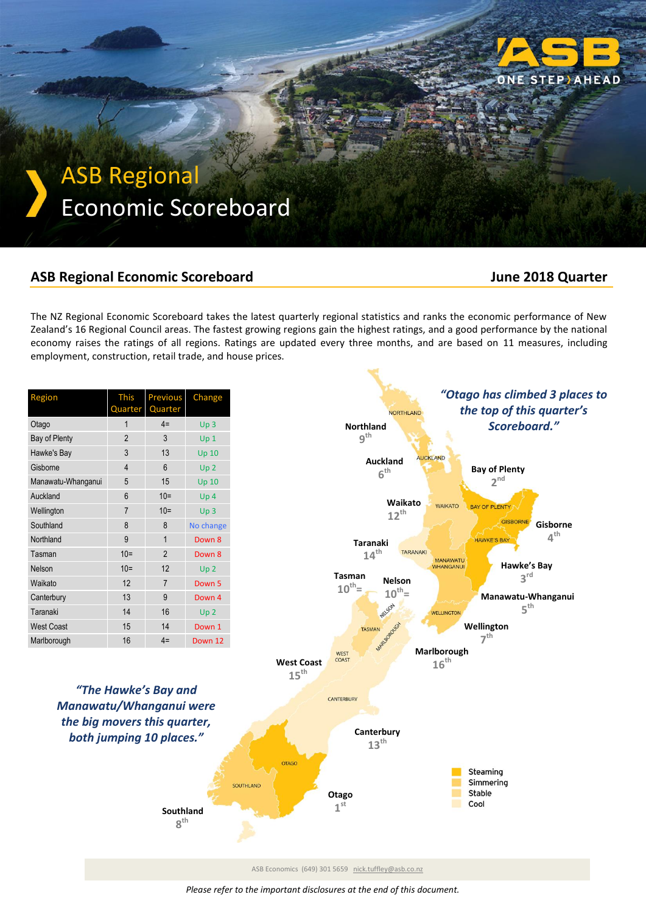

# ASB Regional Economic Scoreboard

### **ASB Regional Economic Scoreboard June 2018 Quarter**

The NZ Regional Economic Scoreboard takes the latest quarterly regional statistics and ranks the economic performance of New Zealand's 16 Regional Council areas. The fastest growing regions gain the highest ratings, and a good performance by the national economy raises the ratings of all regions. Ratings are updated every three months, and are based on 11 measures, including employment, construction, retail trade, and house prices.

| Region             | <b>This</b>    | <b>Previous</b> | Change           |  |  |
|--------------------|----------------|-----------------|------------------|--|--|
|                    | Quarter        | Quarter         |                  |  |  |
| Otago              | 1              | $4=$            | Up <sub>3</sub>  |  |  |
| Bay of Plenty      | $\overline{2}$ | 3               | Up <sub>1</sub>  |  |  |
| Hawke's Bay        | 3              | 13              | <b>Up 10</b>     |  |  |
| Gisborne           | $\overline{4}$ | 6               | Up <sub>2</sub>  |  |  |
| Manawatu-Whanganui | 5              | 15              | Up <sub>10</sub> |  |  |
| Auckland           | 6              | $10 =$          | Up <sub>4</sub>  |  |  |
| Wellington         | $\overline{7}$ | $10 =$          | Up <sub>3</sub>  |  |  |
| Southland          | 8              | 8               | No change        |  |  |
| Northland          | 9              | $\mathbf{1}$    | Down 8           |  |  |
| Tasman             | $10=$          | $\overline{2}$  | Down 8           |  |  |
| Nelson             | $10=$          | 12              | Up <sub>2</sub>  |  |  |
| Waikato            | 12             | $\overline{7}$  | Down 5           |  |  |
| Canterbury         | 13             | 9               | Down 4           |  |  |
| Taranaki           | 14             | 16              | Up <sub>2</sub>  |  |  |
| <b>West Coast</b>  | 15             | 14              | Down 1           |  |  |
| Marlborough        | 16             | $4=$            | Down 12          |  |  |

*"The Hawke's Bay and Manawatu/Whanganui were the big movers this quarter, both jumping 10 places."*

> **Southland 8 th**

SOUTHLAND



ASB Economics (649) 301 5659 [nick.tuffley@asb.co.nz](mailto:nick.tuffley@asb.co.nz)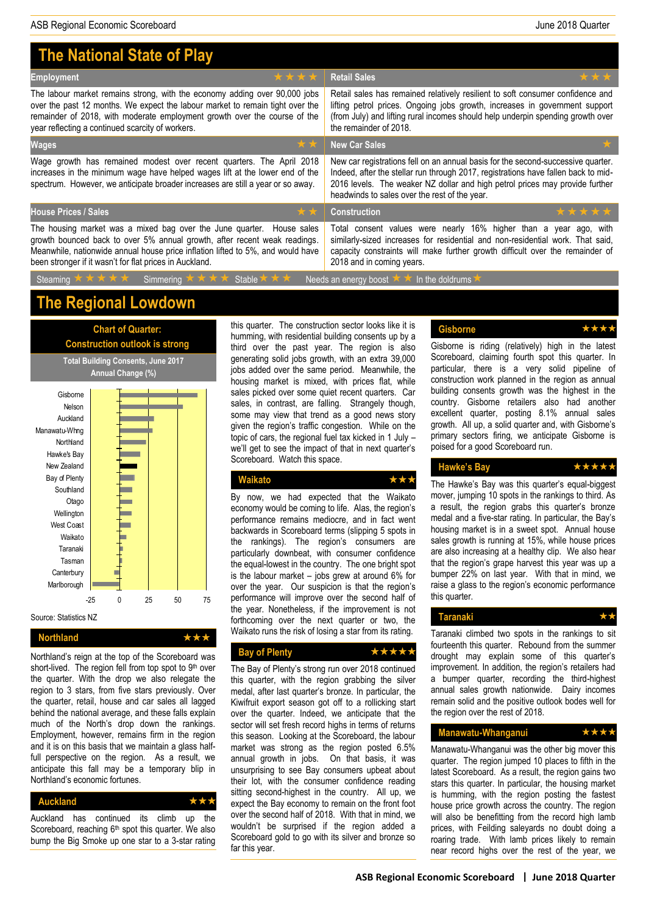| <b>The National State of Play</b>                                                                                                                                                                                                       |                                                                                                                                                                                                                                                                                                         |  |  |  |  |  |
|-----------------------------------------------------------------------------------------------------------------------------------------------------------------------------------------------------------------------------------------|---------------------------------------------------------------------------------------------------------------------------------------------------------------------------------------------------------------------------------------------------------------------------------------------------------|--|--|--|--|--|
| ****                                                                                                                                                                                                                                    | ***                                                                                                                                                                                                                                                                                                     |  |  |  |  |  |
| <b>Employment</b>                                                                                                                                                                                                                       | <b>Retail Sales</b>                                                                                                                                                                                                                                                                                     |  |  |  |  |  |
| The labour market remains strong, with the economy adding over 90,000 jobs                                                                                                                                                              | Retail sales has remained relatively resilient to soft consumer confidence and                                                                                                                                                                                                                          |  |  |  |  |  |
| over the past 12 months. We expect the labour market to remain tight over the                                                                                                                                                           | lifting petrol prices. Ongoing jobs growth, increases in government support                                                                                                                                                                                                                             |  |  |  |  |  |
| remainder of 2018, with moderate employment growth over the course of the                                                                                                                                                               | (from July) and lifting rural incomes should help underpin spending growth over                                                                                                                                                                                                                         |  |  |  |  |  |
| year reflecting a continued scarcity of workers.                                                                                                                                                                                        | the remainder of 2018.                                                                                                                                                                                                                                                                                  |  |  |  |  |  |
| **<br><b>Wages</b>                                                                                                                                                                                                                      | <b>New Car Sales</b>                                                                                                                                                                                                                                                                                    |  |  |  |  |  |
| Wage growth has remained modest over recent quarters. The April 2018<br>increases in the minimum wage have helped wages lift at the lower end of the<br>spectrum. However, we anticipate broader increases are still a year or so away. | New car registrations fell on an annual basis for the second-successive quarter.<br>Indeed, after the stellar run through 2017, registrations have fallen back to mid-<br>2016 levels. The weaker NZ dollar and high petrol prices may provide further<br>headwinds to sales over the rest of the year. |  |  |  |  |  |
| <b>House Prices / Sales</b>                                                                                                                                                                                                             | *****                                                                                                                                                                                                                                                                                                   |  |  |  |  |  |
| **                                                                                                                                                                                                                                      | <b>Construction</b>                                                                                                                                                                                                                                                                                     |  |  |  |  |  |
| The housing market was a mixed bag over the June quarter. House sales                                                                                                                                                                   | Total consent values were nearly 16% higher than a year ago, with                                                                                                                                                                                                                                       |  |  |  |  |  |
| growth bounced back to over 5% annual growth, after recent weak readings.                                                                                                                                                               | similarly-sized increases for residential and non-residential work. That said,                                                                                                                                                                                                                          |  |  |  |  |  |
| Meanwhile, nationwide annual house price inflation lifted to 5%, and would have                                                                                                                                                         | capacity constraints will make further growth difficult over the remainder of                                                                                                                                                                                                                           |  |  |  |  |  |
| been stronger if it wasn't for flat prices in Auckland.                                                                                                                                                                                 | 2018 and in coming years.                                                                                                                                                                                                                                                                               |  |  |  |  |  |
| Steaming * * * * *<br>Simmering $\star \star \star \star$ Stable $\star \star \star$                                                                                                                                                    | Needs an energy boost * * In the doldrums                                                                                                                                                                                                                                                               |  |  |  |  |  |

## **The Regional Lowdown**

**Chart of Quarter:**



Northland <del>★ ★ ★</del>

Northland's reign at the top of the Scoreboard was short-lived. The region fell from top spot to 9th over the quarter. With the drop we also relegate the region to 3 stars, from five stars previously. Over the quarter, retail, house and car sales all lagged behind the national average, and these falls explain much of the North's drop down the rankings. Employment, however, remains firm in the region and it is on this basis that we maintain a glass halffull perspective on the region. As a result, we anticipate this fall may be a temporary blip in Northland's economic fortunes.

| <b>Auckland</b> | ***                                                             |  |     |
|-----------------|-----------------------------------------------------------------|--|-----|
|                 | Auckland has continued its climb up                             |  | the |
|                 | Scoreboard, reaching 6 <sup>th</sup> spot this quarter. We also |  |     |
|                 | bump the Big Smoke up one star to a 3-star rating               |  |     |

this quarter. The construction sector looks like it is humming, with residential building consents up by a third over the past year. The region is also generating solid jobs growth, with an extra 39,000 jobs added over the same period. Meanwhile, the housing market is mixed, with prices flat, while sales picked over some quiet recent quarters. Car sales, in contrast, are falling. Strangely though, some may view that trend as a good news story given the region's traffic congestion. While on the topic of cars, the regional fuel tax kicked in 1 July – we'll get to see the impact of that in next quarter's Scoreboard. Watch this space.

### **Waikato**

By now, we had expected that the Waikato economy would be coming to life. Alas, the region's performance remains mediocre, and in fact went backwards in Scoreboard terms (slipping 5 spots in the rankings). The region's consumers are particularly downbeat, with consumer confidence the equal-lowest in the country. The one bright spot is the labour market – jobs grew at around 6% for over the year. Our suspicion is that the region's performance will improve over the second half of the year. Nonetheless, if the improvement is not forthcoming over the next quarter or two, the Waikato runs the risk of losing a star from its rating.

#### Bay of Plenty **better by** ★★★★

The Bay of Plenty's strong run over 2018 continued this quarter, with the region grabbing the silver medal, after last quarter's bronze. In particular, the Kiwifruit export season got off to a rollicking start over the quarter. Indeed, we anticipate that the sector will set fresh record highs in terms of returns this season. Looking at the Scoreboard, the labour market was strong as the region posted 6.5% annual growth in jobs. On that basis, it was unsurprising to see Bay consumers upbeat about their lot, with the consumer confidence reading sitting second-highest in the country. All up, we expect the Bay economy to remain on the front foot over the second half of 2018. With that in mind, we wouldn't be surprised if the region added a Scoreboard gold to go with its silver and bronze so far this year.

### **Gisborne**

Gisborne is riding (relatively) high in the latest Scoreboard, claiming fourth spot this quarter. In particular, there is a very solid pipeline of construction work planned in the region as annual building consents growth was the highest in the country. Gisborne retailers also had another excellent quarter, posting 8.1% annual sales growth. All up, a solid quarter and, with Gisborne's primary sectors firing, we anticipate Gisborne is poised for a good Scoreboard run.

### **Hawke's Bay**

The Hawke's Bay was this quarter's equal-biggest mover, jumping 10 spots in the rankings to third. As a result, the region grabs this quarter's bronze medal and a five-star rating. In particular, the Bay's housing market is in a sweet spot. Annual house sales growth is running at 15%, while house prices are also increasing at a healthy clip. We also hear that the region's grape harvest this year was up a bumper 22% on last year. With that in mind, we raise a glass to the region's economic performance this quarter.

#### **Taranaki**

Taranaki climbed two spots in the rankings to sit fourteenth this quarter. Rebound from the summer drought may explain some of this quarter's improvement. In addition, the region's retailers had a bumper quarter, recording the third-highest annual sales growth nationwide. Dairy incomes remain solid and the positive outlook bodes well for the region over the rest of 2018.

#### **Manawatu-Whanganui**

Manawatu-Whanganui was the other big mover this quarter. The region jumped 10 places to fifth in the latest Scoreboard. As a result, the region gains two stars this quarter. In particular, the housing market is humming, with the region posting the fastest house price growth across the country. The region will also be benefitting from the record high lamb prices, with Feilding saleyards no doubt doing a roaring trade. With lamb prices likely to remain near record highs over the rest of the year, we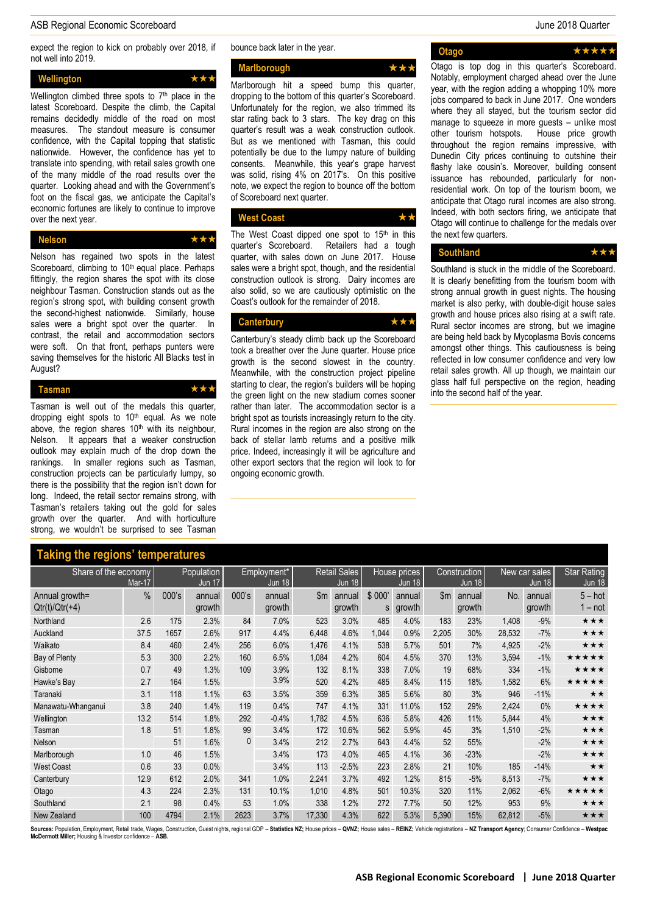#### ASB Regional Economic Scoreboard June 2018 Quarter

expect the region to kick on probably over 2018, if not well into 2019.

| Wellington                                            |  |  |  | *** |  |
|-------------------------------------------------------|--|--|--|-----|--|
| Vallington, alipphoed there anote to 7th place in the |  |  |  |     |  |

Wellington climbed three spots to  $7<sup>th</sup>$  place in the latest Scoreboard. Despite the climb, the Capital remains decidedly middle of the road on most measures. The standout measure is consumer confidence, with the Capital topping that statistic nationwide. However, the confidence has yet to translate into spending, with retail sales growth one of the many middle of the road results over the quarter. Looking ahead and with the Government's foot on the fiscal gas, we anticipate the Capital's economic fortunes are likely to continue to improve over the next year.

**Nelson** 

Nelson has regained two spots in the latest Scoreboard, climbing to 10<sup>th</sup> equal place. Perhaps fittingly, the region shares the spot with its close neighbour Tasman. Construction stands out as the region's strong spot, with building consent growth the second-highest nationwide. Similarly, house sales were a bright spot over the quarter. In contrast, the retail and accommodation sectors were soft. On that front, perhaps punters were saving themselves for the historic All Blacks test in August?

**Tasman**

Tasman is well out of the medals this quarter, dropping eight spots to  $10<sup>th</sup>$  equal. As we note above, the region shares  $10<sup>th</sup>$  with its neighbour, Nelson. It appears that a weaker construction outlook may explain much of the drop down the rankings. In smaller regions such as Tasman, construction projects can be particularly lumpy, so there is the possibility that the region isn't down for long. Indeed, the retail sector remains strong, with Tasman's retailers taking out the gold for sales growth over the quarter. And with horticulture strong, we wouldn't be surprised to see Tasman

#### bounce back later in the year.

**Marlborough**

Marlborough hit a speed bump this quarter, dropping to the bottom of this quarter's Scoreboard. Unfortunately for the region, we also trimmed its star rating back to 3 stars. The key drag on this quarter's result was a weak construction outlook. But as we mentioned with Tasman, this could potentially be due to the lumpy nature of building consents. Meanwhile, this year's grape harvest was solid, rising 4% on 2017's. On this positive note, we expect the region to bounce off the bottom of Scoreboard next quarter.

**West Coast**

The West Coast dipped one spot to  $15<sup>th</sup>$  in this quarter's Scoreboard. Retailers had a tough quarter, with sales down on June 2017. House sales were a bright spot, though, and the residential construction outlook is strong. Dairy incomes are also solid, so we are cautiously optimistic on the Coast's outlook for the remainder of 2018.

## Canterbury ★★↑

Canterbury's steady climb back up the Scoreboard took a breather over the June quarter. House price growth is the second slowest in the country. Meanwhile, with the construction project pipeline starting to clear, the region's builders will be hoping the green light on the new stadium comes sooner rather than later. The accommodation sector is a bright spot as tourists increasingly return to the city. Rural incomes in the region are also strong on the back of stellar lamb returns and a positive milk price. Indeed, increasingly it will be agriculture and other export sectors that the region will look to for ongoing economic growth.

**Otago** ★★★★★ Otago is top dog in this quarter's Scoreboard. Notably, employment charged ahead over the June year, with the region adding a whopping 10% more jobs compared to back in June 2017. One wonders where they all stayed, but the tourism sector did manage to squeeze in more guests – unlike most other tourism hotspots. House price growth throughout the region remains impressive, with Dunedin City prices continuing to outshine their flashy lake cousin's. Moreover, building consent issuance has rebounded, particularly for nonresidential work. On top of the tourism boom, we anticipate that Otago rural incomes are also strong. Indeed, with both sectors firing, we anticipate that Otago will continue to challenge for the medals over the next few quarters.

#### Southland ★★★

Southland is stuck in the middle of the Scoreboard. It is clearly benefitting from the tourism boom with strong annual growth in guest nights. The housing market is also perky, with double-digit house sales growth and house prices also rising at a swift rate. Rural sector incomes are strong, but we imagine are being held back by Mycoplasma Bovis concerns amongst other things. This cautiousness is being reflected in low consumer confidence and very low retail sales growth. All up though, we maintain our glass half full perspective on the region, heading into the second half of the year.

| Taking the regions' temperatures   |      |                             |                  |                              |                  |                                      |                  |                               |                  |                               |                  |                                |                  |                                     |
|------------------------------------|------|-----------------------------|------------------|------------------------------|------------------|--------------------------------------|------------------|-------------------------------|------------------|-------------------------------|------------------|--------------------------------|------------------|-------------------------------------|
| Share of the economy<br>Mar-17     |      | Population<br><b>Jun 17</b> |                  | Employment*<br><b>Jun 18</b> |                  | <b>Retail Sales</b><br><b>Jun 18</b> |                  | House prices<br><b>Jun 18</b> |                  | Construction<br><b>Jun 18</b> |                  | New car sales<br><b>Jun 18</b> |                  | <b>Star Rating</b><br><b>Jun 18</b> |
| Annual growth=<br>$Qtr(t)/Qtr(+4)$ | $\%$ | 000's                       | annual<br>growth | 000's                        | annual<br>growth | $\mathsf{Sm}$                        | annual<br>growth | \$000'<br>s                   | annual<br>growth | $\mathsf{Sm}$                 | annual<br>growth | No.                            | annual<br>growth | $5 - hot$<br>l – not                |
| Northland                          | 2.6  | 175                         | 2.3%             | 84                           | 7.0%             | 523                                  | 3.0%             | 485                           | 4.0%             | 183                           | 23%              | 1,408                          | $-9%$            | ★★★                                 |
| Auckland                           | 37.5 | 1657                        | 2.6%             | 917                          | 4.4%             | 6,448                                | 4.6%             | 1,044                         | 0.9%             | 2,205                         | 30%              | 28,532                         | $-7%$            | ***                                 |
| Waikato                            | 8.4  | 460                         | 2.4%             | 256                          | 6.0%             | 1,476                                | 4.1%             | 538                           | 5.7%             | 501                           | 7%               | 4,925                          | $-2%$            | ★★★                                 |
| Bay of Plenty                      | 5.3  | 300                         | 2.2%             | 160                          | 6.5%             | 1,084                                | 4.2%             | 604                           | 4.5%             | 370                           | 13%              | 3,594                          | $-1%$            | *****                               |
| Gisborne                           | 0.7  | 49                          | 1.3%             | 109                          | 3.9%             | 132                                  | 8.1%             | 338                           | 7.0%             | 19                            | 68%              | 334                            | $-1\%$           | ****                                |
| Hawke's Bay                        | 2.7  | 164                         | 1.5%             |                              | 3.9%             | 520                                  | 4.2%             | 485                           | 8.4%             | 115                           | 18%              | 1,582                          | 6%               | *****                               |
| Taranaki                           | 3.1  | 118                         | 1.1%             | 63                           | 3.5%             | 359                                  | 6.3%             | 385                           | 5.6%             | 80                            | 3%               | 946                            | $-11%$           | $\star\star$                        |
| Manawatu-Whanganui                 | 3.8  | 240                         | 1.4%             | 119                          | 0.4%             | 747                                  | 4.1%             | 331                           | 11.0%            | 152                           | 29%              | 2.424                          | $0\%$            | ★★★★                                |
| Wellington                         | 13.2 | 514                         | 1.8%             | 292                          | $-0.4%$          | 1,782                                | 4.5%             | 636                           | 5.8%             | 426                           | 11%              | 5,844                          | 4%               | ★★★                                 |
| Tasman                             | 1.8  | 51                          | 1.8%             | 99                           | 3.4%             | 172                                  | 10.6%            | 562                           | 5.9%             | 45                            | 3%               | 1,510                          | $-2%$            | ***                                 |
| Nelson                             |      | 51                          | 1.6%             | 0                            | 3.4%             | 212                                  | 2.7%             | 643                           | 4.4%             | 52                            | 55%              |                                | $-2%$            | ★★★                                 |
| Marlborough                        | 1.0  | 46                          | 1.5%             |                              | 3.4%             | 173                                  | 4.0%             | 465                           | 4.1%             | 36                            | $-23%$           |                                | $-2%$            | ***                                 |
| <b>West Coast</b>                  | 0.6  | 33                          | 0.0%             |                              | 3.4%             | 113                                  | $-2.5%$          | 223                           | 2.8%             | 21                            | 10%              | 185                            | $-14%$           | $\star\star$                        |
| Canterbury                         | 12.9 | 612                         | 2.0%             | 341                          | 1.0%             | 2,241                                | 3.7%             | 492                           | 1.2%             | 815                           | $-5%$            | 8,513                          | $-7%$            | ***                                 |
| Otago                              | 4.3  | 224                         | 2.3%             | 131                          | 10.1%            | 1,010                                | 4.8%             | 501                           | 10.3%            | 320                           | 11%              | 2,062                          | $-6%$            | *****                               |
| Southland                          | 2.1  | 98                          | 0.4%             | 53                           | 1.0%             | 338                                  | 1.2%             | 272                           | 7.7%             | 50                            | 12%              | 953                            | 9%               | ★★★                                 |
| New Zealand                        | 100  | 4794                        | 2.1%             | 2623                         | 3.7%             | 17,330                               | 4.3%             | 622                           | 5.3%             | 5,390                         | 15%              | 62,812                         | $-5%$            | ★★★                                 |

urces: Population, Employment, Retail trade, Wages, Construction, Guest nights, regional GDP - Statistics NZ; House prices - QVNZ; House sales - REINZ; Vehicle registrations - NZ Transport Agency; Consumer Confidence - Wes **McDermott Miller;** Housing & Investor confidence – **ASB.**